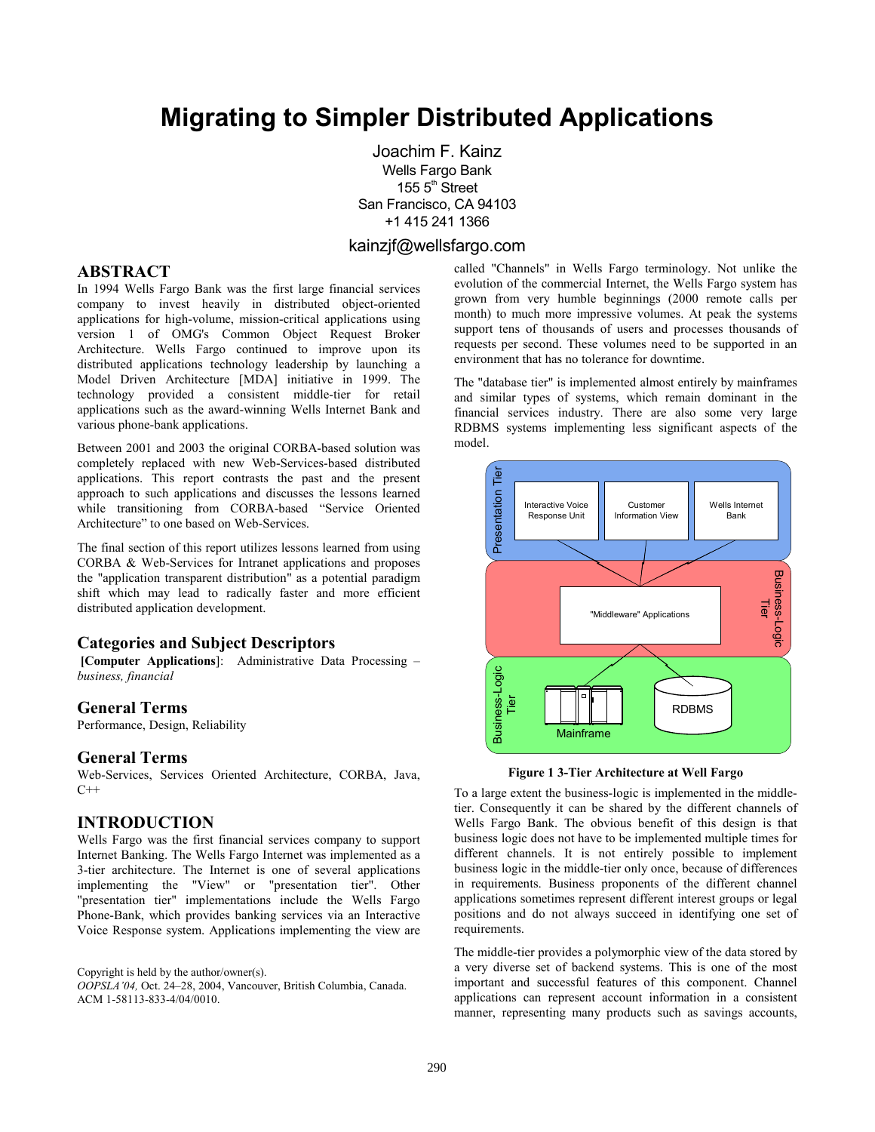# **Migrating to Simpler Distributed Applications**

 oachim F. Kainz Wells Fargo Bank 155 5<sup>th</sup> Street San Francisco, CA 94103 +1 415 241 1366

#### kainzjf@wellsfargo.com

#### **ABSTRACT**

In 1994 Wells Fargo Bank was the first large financial services company to invest heavily in distributed object-oriented applications for high-volume, mission-critical applications using version 1 of OMG's Common Object Request Broker Architecture. Wells Fargo continued to improve upon its distributed applications technology leadership by launching a Model Driven Architecture [MDA] initiative in 1999. The technology provided a consistent middle-tier for retail applications such as the award-winning Wells Internet Bank and various phone-bank applications.

Between 2001 and 2003 the original CORBA-based solution was completely replaced with new Web-Services-based distributed applications. This report contrasts the past and the present approach to such applications and discusses the lessons learned while transitioning from CORBA-based "Service Oriented Architecture" to one based on Web-Services.

The final section of this report utilizes lessons learned from using CORBA & Web-Services for Intranet applications and proposes the "application transparent distribution" as a potential paradigm shift which may lead to radically faster and more efficient distributed application development.

#### **Categories and Subject Descriptors**

**[Computer Applications**]: Administrative Data Processing – *business, financial*

#### **General Terms**

Performance, Design, Reliability

#### **General Terms**

Web-Services, Services Oriented Architecture, CORBA, Java,  $C++$ 

#### **INTRODUCTION**

Wells Fargo was the first financial services company to support Internet Banking. The Wells Fargo Internet was implemented as a 3-tier architecture. The Internet is one of several applications implementing the "View" or "presentation tier". Other "presentation tier" implementations include the Wells Fargo Phone-Bank, which provides banking services via an Interactive Voice Response system. Applications implementing the view are

Copyright is held by the author/owner(s).

*OOPSLA'04,* Oct. 24–28, 2004, Vancouver, British Columbia, Canada. ACM 1-58113-833-4/04/0010.

called "Channels" in Wells Fargo terminology. Not unlike the evolution of the commercial Internet, the Wells Fargo system has grown from very humble beginnings (2000 remote calls per month) to much more impressive volumes. At peak the systems support tens of thousands of users and processes thousands of requests per second. These volumes need to be supported in an environment that has no tolerance for downtime.

The "database tier" is implemented almost entirely by mainframes and similar types of systems, which remain dominant in the financial services industry. There are also some very large RDBMS systems implementing less significant aspects of the model.



**Figure 1 3-Tier Architecture at Well Fargo** 

To a large extent the business-logic is implemented in the middletier. Consequently it can be shared by the different channels of Wells Fargo Bank. The obvious benefit of this design is that business logic does not have to be implemented multiple times for different channels. It is not entirely possible to implement business logic in the middle-tier only once, because of differences in requirements. Business proponents of the different channel applications sometimes represent different interest groups or legal positions and do not always succeed in identifying one set of requirements.

The middle-tier provides a polymorphic view of the data stored by a very diverse set of backend systems. This is one of the most important and successful features of this component. Channel applications can represent account information in a consistent manner, representing many products such as savings accounts,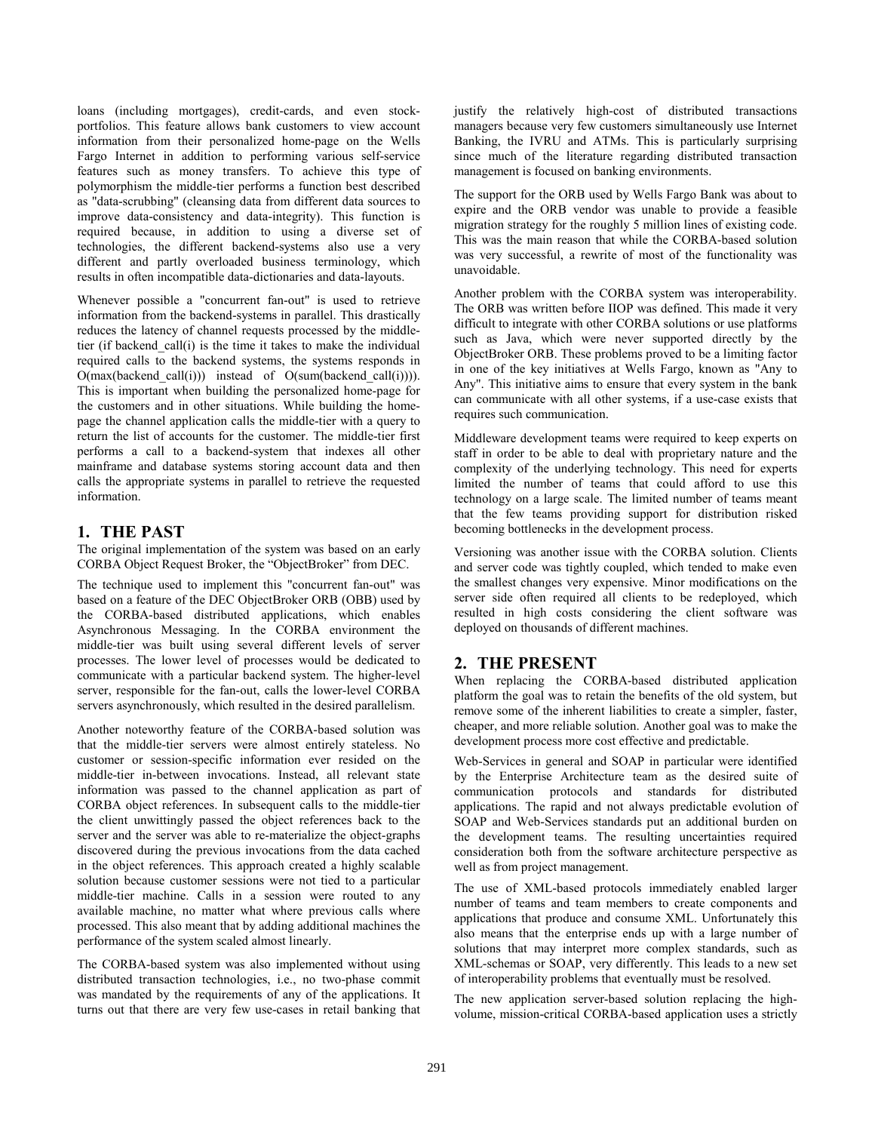loans (including mortgages), credit-cards, and even stockportfolios. This feature allows bank customers to view account information from their personalized home-page on the Wells Fargo Internet in addition to performing various self-service features such as money transfers. To achieve this type of polymorphism the middle-tier performs a function best described as "data-scrubbing" (cleansing data from different data sources to improve data-consistency and data-integrity). This function is required because, in addition to using a diverse set of technologies, the different backend-systems also use a very different and partly overloaded business terminology, which results in often incompatible data-dictionaries and data-layouts.

Whenever possible a "concurrent fan-out" is used to retrieve information from the backend-systems in parallel. This drastically reduces the latency of channel requests processed by the middletier (if backend\_call(i) is the time it takes to make the individual required calls to the backend systems, the systems responds in O(max(backend\_call(i))) instead of O(sum(backend\_call(i)))). This is important when building the personalized home-page for the customers and in other situations. While building the homepage the channel application calls the middle-tier with a query to return the list of accounts for the customer. The middle-tier first performs a call to a backend-system that indexes all other mainframe and database systems storing account data and then calls the appropriate systems in parallel to retrieve the requested information.

### **1. THE PAST**

The original implementation of the system was based on an early CORBA Object Request Broker, the "ObjectBroker" from DEC.

The technique used to implement this "concurrent fan-out" was based on a feature of the DEC ObjectBroker ORB (OBB) used by the CORBA-based distributed applications, which enables Asynchronous Messaging. In the CORBA environment the middle-tier was built using several different levels of server processes. The lower level of processes would be dedicated to communicate with a particular backend system. The higher-level server, responsible for the fan-out, calls the lower-level CORBA servers asynchronously, which resulted in the desired parallelism.

Another noteworthy feature of the CORBA-based solution was that the middle-tier servers were almost entirely stateless. No customer or session-specific information ever resided on the middle-tier in-between invocations. Instead, all relevant state information was passed to the channel application as part of CORBA object references. In subsequent calls to the middle-tier the client unwittingly passed the object references back to the server and the server was able to re-materialize the object-graphs discovered during the previous invocations from the data cached in the object references. This approach created a highly scalable solution because customer sessions were not tied to a particular middle-tier machine. Calls in a session were routed to any available machine, no matter what where previous calls where processed. This also meant that by adding additional machines the performance of the system scaled almost linearly.

The CORBA-based system was also implemented without using distributed transaction technologies, i.e., no two-phase commit was mandated by the requirements of any of the applications. It turns out that there are very few use-cases in retail banking that

justify the relatively high-cost of distributed transactions managers because very few customers simultaneously use Internet Banking, the IVRU and ATMs. This is particularly surprising since much of the literature regarding distributed transaction management is focused on banking environments.

The support for the ORB used by Wells Fargo Bank was about to expire and the ORB vendor was unable to provide a feasible migration strategy for the roughly 5 million lines of existing code. This was the main reason that while the CORBA-based solution was very successful, a rewrite of most of the functionality was unavoidable.

Another problem with the CORBA system was interoperability. The ORB was written before IIOP was defined. This made it very difficult to integrate with other CORBA solutions or use platforms such as Java, which were never supported directly by the ObjectBroker ORB. These problems proved to be a limiting factor in one of the key initiatives at Wells Fargo, known as "Any to Any". This initiative aims to ensure that every system in the bank can communicate with all other systems, if a use-case exists that requires such communication.

Middleware development teams were required to keep experts on staff in order to be able to deal with proprietary nature and the complexity of the underlying technology. This need for experts limited the number of teams that could afford to use this technology on a large scale. The limited number of teams meant that the few teams providing support for distribution risked becoming bottlenecks in the development process.

Versioning was another issue with the CORBA solution. Clients and server code was tightly coupled, which tended to make even the smallest changes very expensive. Minor modifications on the server side often required all clients to be redeployed, which resulted in high costs considering the client software was deployed on thousands of different machines.

# **2. THE PRESENT**

When replacing the CORBA-based distributed application platform the goal was to retain the benefits of the old system, but remove some of the inherent liabilities to create a simpler, faster, cheaper, and more reliable solution. Another goal was to make the development process more cost effective and predictable.

Web-Services in general and SOAP in particular were identified by the Enterprise Architecture team as the desired suite of communication protocols and standards for distributed applications. The rapid and not always predictable evolution of SOAP and Web-Services standards put an additional burden on the development teams. The resulting uncertainties required consideration both from the software architecture perspective as well as from project management.

The use of XML-based protocols immediately enabled larger number of teams and team members to create components and applications that produce and consume XML. Unfortunately this also means that the enterprise ends up with a large number of solutions that may interpret more complex standards, such as XML-schemas or SOAP, very differently. This leads to a new set of interoperability problems that eventually must be resolved.

The new application server-based solution replacing the highvolume, mission-critical CORBA-based application uses a strictly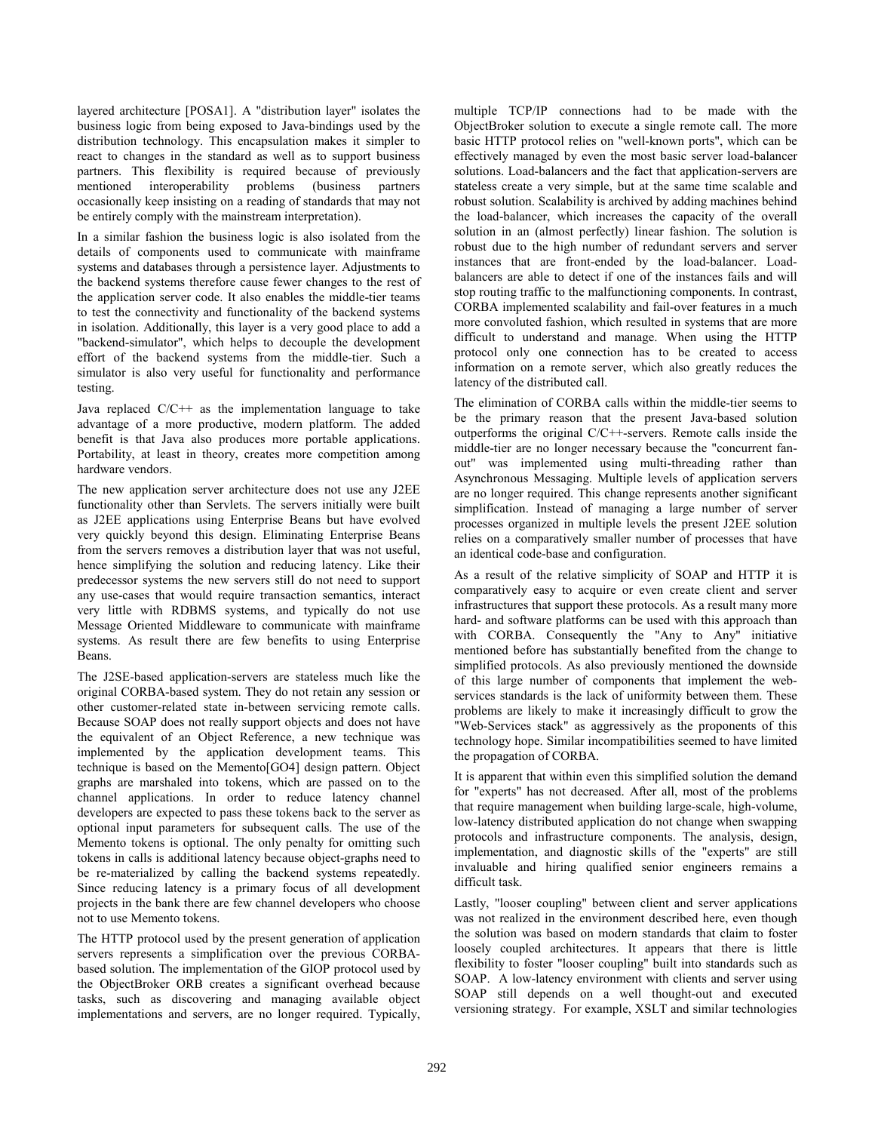layered architecture [POSA1]. A "distribution layer" isolates the business logic from being exposed to Java-bindings used by the distribution technology. This encapsulation makes it simpler to react to changes in the standard as well as to support business partners. This flexibility is required because of previously mentioned interoperability problems (business partners occasionally keep insisting on a reading of standards that may not be entirely comply with the mainstream interpretation).

In a similar fashion the business logic is also isolated from the details of components used to communicate with mainframe systems and databases through a persistence layer. Adjustments to the backend systems therefore cause fewer changes to the rest of the application server code. It also enables the middle-tier teams to test the connectivity and functionality of the backend systems in isolation. Additionally, this layer is a very good place to add a "backend-simulator", which helps to decouple the development effort of the backend systems from the middle-tier. Such a simulator is also very useful for functionality and performance testing.

Java replaced  $C/C++$  as the implementation language to take advantage of a more productive, modern platform. The added benefit is that Java also produces more portable applications. Portability, at least in theory, creates more competition among hardware vendors.

The new application server architecture does not use any J2EE functionality other than Servlets. The servers initially were built as J2EE applications using Enterprise Beans but have evolved very quickly beyond this design. Eliminating Enterprise Beans from the servers removes a distribution layer that was not useful, hence simplifying the solution and reducing latency. Like their predecessor systems the new servers still do not need to support any use-cases that would require transaction semantics, interact very little with RDBMS systems, and typically do not use Message Oriented Middleware to communicate with mainframe systems. As result there are few benefits to using Enterprise Beans.

The J2SE-based application-servers are stateless much like the original CORBA-based system. They do not retain any session or other customer-related state in-between servicing remote calls. Because SOAP does not really support objects and does not have the equivalent of an Object Reference, a new technique was implemented by the application development teams. This technique is based on the Memento[GO4] design pattern. Object graphs are marshaled into tokens, which are passed on to the channel applications. In order to reduce latency channel developers are expected to pass these tokens back to the server as optional input parameters for subsequent calls. The use of the Memento tokens is optional. The only penalty for omitting such tokens in calls is additional latency because object-graphs need to be re-materialized by calling the backend systems repeatedly. Since reducing latency is a primary focus of all development projects in the bank there are few channel developers who choose not to use Memento tokens.

The HTTP protocol used by the present generation of application servers represents a simplification over the previous CORBAbased solution. The implementation of the GIOP protocol used by the ObjectBroker ORB creates a significant overhead because tasks, such as discovering and managing available object implementations and servers, are no longer required. Typically,

multiple TCP/IP connections had to be made with the ObjectBroker solution to execute a single remote call. The more basic HTTP protocol relies on "well-known ports", which can be effectively managed by even the most basic server load-balancer solutions. Load-balancers and the fact that application-servers are stateless create a very simple, but at the same time scalable and robust solution. Scalability is archived by adding machines behind the load-balancer, which increases the capacity of the overall solution in an (almost perfectly) linear fashion. The solution is robust due to the high number of redundant servers and server instances that are front-ended by the load-balancer. Loadbalancers are able to detect if one of the instances fails and will stop routing traffic to the malfunctioning components. In contrast, CORBA implemented scalability and fail-over features in a much more convoluted fashion, which resulted in systems that are more difficult to understand and manage. When using the HTTP protocol only one connection has to be created to access information on a remote server, which also greatly reduces the latency of the distributed call.

The elimination of CORBA calls within the middle-tier seems to be the primary reason that the present Java-based solution outperforms the original C/C++-servers. Remote calls inside the middle-tier are no longer necessary because the "concurrent fanout" was implemented using multi-threading rather than Asynchronous Messaging. Multiple levels of application servers are no longer required. This change represents another significant simplification. Instead of managing a large number of server processes organized in multiple levels the present J2EE solution relies on a comparatively smaller number of processes that have an identical code-base and configuration.

As a result of the relative simplicity of SOAP and HTTP it is comparatively easy to acquire or even create client and server infrastructures that support these protocols. As a result many more hard- and software platforms can be used with this approach than with CORBA. Consequently the "Any to Any" initiative mentioned before has substantially benefited from the change to simplified protocols. As also previously mentioned the downside of this large number of components that implement the webservices standards is the lack of uniformity between them. These problems are likely to make it increasingly difficult to grow the "Web-Services stack" as aggressively as the proponents of this technology hope. Similar incompatibilities seemed to have limited the propagation of CORBA.

It is apparent that within even this simplified solution the demand for "experts" has not decreased. After all, most of the problems that require management when building large-scale, high-volume, low-latency distributed application do not change when swapping protocols and infrastructure components. The analysis, design, implementation, and diagnostic skills of the "experts" are still invaluable and hiring qualified senior engineers remains a difficult task.

Lastly, "looser coupling" between client and server applications was not realized in the environment described here, even though the solution was based on modern standards that claim to foster loosely coupled architectures. It appears that there is little flexibility to foster "looser coupling" built into standards such as SOAP. A low-latency environment with clients and server using SOAP still depends on a well thought-out and executed versioning strategy. For example, XSLT and similar technologies